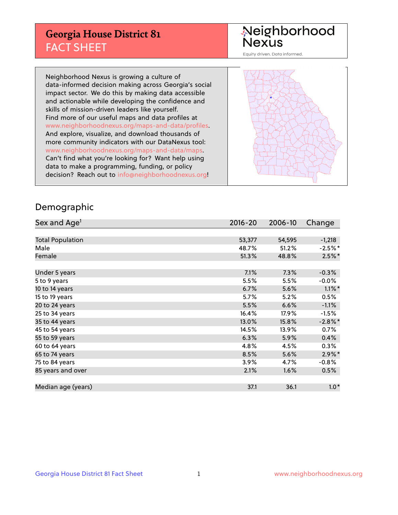## **Georgia House District 81** FACT SHEET

# Neighborhood<br>Nexus

Equity driven. Data informed.

Neighborhood Nexus is growing a culture of data-informed decision making across Georgia's social impact sector. We do this by making data accessible and actionable while developing the confidence and skills of mission-driven leaders like yourself. Find more of our useful maps and data profiles at www.neighborhoodnexus.org/maps-and-data/profiles. And explore, visualize, and download thousands of more community indicators with our DataNexus tool: www.neighborhoodnexus.org/maps-and-data/maps. Can't find what you're looking for? Want help using data to make a programming, funding, or policy decision? Reach out to [info@neighborhoodnexus.org!](mailto:info@neighborhoodnexus.org)



### Demographic

| Sex and Age <sup>1</sup> | $2016 - 20$ | 2006-10 | Change     |
|--------------------------|-------------|---------|------------|
|                          |             |         |            |
| <b>Total Population</b>  | 53,377      | 54,595  | $-1,218$   |
| Male                     | 48.7%       | 51.2%   | $-2.5%$ *  |
| Female                   | 51.3%       | 48.8%   | $2.5\%$ *  |
|                          |             |         |            |
| Under 5 years            | 7.1%        | 7.3%    | $-0.3%$    |
| 5 to 9 years             | 5.5%        | 5.5%    | $-0.0\%$   |
| 10 to 14 years           | 6.7%        | 5.6%    | $1.1\%$ *  |
| 15 to 19 years           | 5.7%        | 5.2%    | 0.5%       |
| 20 to 24 years           | 5.5%        | 6.6%    | $-1.1%$    |
| 25 to 34 years           | 16.4%       | 17.9%   | $-1.5%$    |
| 35 to 44 years           | 13.0%       | 15.8%   | $-2.8\%$ * |
| 45 to 54 years           | 14.5%       | 13.9%   | 0.7%       |
| 55 to 59 years           | 6.3%        | 5.9%    | 0.4%       |
| 60 to 64 years           | 4.8%        | 4.5%    | $0.3\%$    |
| 65 to 74 years           | 8.5%        | 5.6%    | $2.9\%$ *  |
| 75 to 84 years           | 3.9%        | 4.7%    | $-0.8%$    |
| 85 years and over        | 2.1%        | 1.6%    | 0.5%       |
|                          |             |         |            |
| Median age (years)       | 37.1        | 36.1    | $1.0*$     |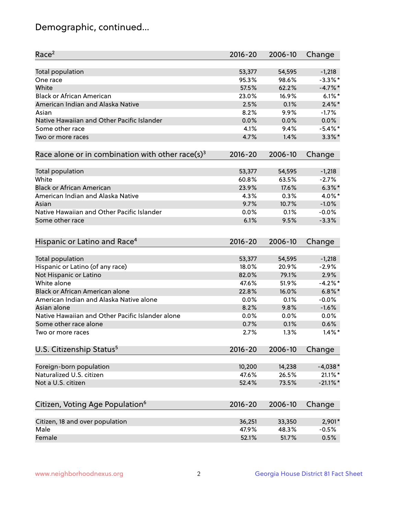## Demographic, continued...

| Race <sup>2</sup>                                            | $2016 - 20$ | 2006-10 | Change      |
|--------------------------------------------------------------|-------------|---------|-------------|
| <b>Total population</b>                                      | 53,377      | 54,595  | $-1,218$    |
| One race                                                     | 95.3%       | 98.6%   | $-3.3\%$ *  |
| White                                                        | 57.5%       | 62.2%   | $-4.7%$     |
| <b>Black or African American</b>                             | 23.0%       | 16.9%   | $6.1\%$     |
| American Indian and Alaska Native                            | 2.5%        | 0.1%    | $2.4\%$ *   |
| Asian                                                        | 8.2%        | 9.9%    | $-1.7%$     |
| Native Hawaiian and Other Pacific Islander                   | 0.0%        | 0.0%    | 0.0%        |
| Some other race                                              | 4.1%        | 9.4%    | $-5.4\%$ *  |
| Two or more races                                            | 4.7%        | 1.4%    | $3.3\%$ *   |
| Race alone or in combination with other race(s) <sup>3</sup> | $2016 - 20$ | 2006-10 | Change      |
|                                                              |             |         |             |
| Total population                                             | 53,377      | 54,595  | $-1,218$    |
| White                                                        | 60.8%       | 63.5%   | $-2.7%$     |
| <b>Black or African American</b>                             | 23.9%       | 17.6%   | $6.3\%$ *   |
| American Indian and Alaska Native                            | 4.3%        | 0.3%    | 4.0%*       |
| Asian                                                        | 9.7%        | 10.7%   | $-1.0%$     |
| Native Hawaiian and Other Pacific Islander                   | 0.0%        | 0.1%    | $-0.0%$     |
| Some other race                                              | 6.1%        | 9.5%    | $-3.3%$     |
|                                                              |             |         |             |
| Hispanic or Latino and Race <sup>4</sup>                     | $2016 - 20$ | 2006-10 | Change      |
| <b>Total population</b>                                      | 53,377      | 54,595  | $-1,218$    |
| Hispanic or Latino (of any race)                             | 18.0%       | 20.9%   | $-2.9%$     |
| Not Hispanic or Latino                                       | 82.0%       | 79.1%   | 2.9%        |
| White alone                                                  | 47.6%       | 51.9%   | $-4.2%$ *   |
| Black or African American alone                              | 22.8%       | 16.0%   | $6.8\%$ *   |
| American Indian and Alaska Native alone                      | 0.0%        | 0.1%    | $-0.0%$     |
| Asian alone                                                  | 8.2%        | 9.8%    | $-1.6%$     |
| Native Hawaiian and Other Pacific Islander alone             | 0.0%        | 0.0%    | 0.0%        |
| Some other race alone                                        | 0.7%        | 0.1%    | 0.6%        |
| Two or more races                                            | 2.7%        | 1.3%    | $1.4\%$ *   |
| U.S. Citizenship Status <sup>5</sup>                         | 2016-20     | 2006-10 | Change      |
|                                                              |             |         |             |
| Foreign-born population                                      | 10,200      | 14,238  | $-4,038*$   |
| Naturalized U.S. citizen                                     | 47.6%       | 26.5%   | $21.1\%$ *  |
| Not a U.S. citizen                                           | 52.4%       | 73.5%   | $-21.1\%$ * |
|                                                              |             |         |             |
| Citizen, Voting Age Population <sup>6</sup>                  | $2016 - 20$ | 2006-10 | Change      |
| Citizen, 18 and over population                              | 36,251      | 33,350  | 2,901*      |
| Male                                                         | 47.9%       | 48.3%   | $-0.5%$     |
| Female                                                       | 52.1%       | 51.7%   | 0.5%        |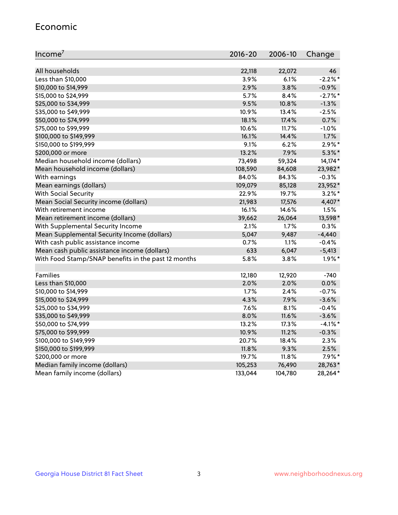#### Economic

| Income <sup>7</sup>                                 | $2016 - 20$ | 2006-10 | Change     |
|-----------------------------------------------------|-------------|---------|------------|
|                                                     |             |         |            |
| All households                                      | 22,118      | 22,072  | 46         |
| Less than \$10,000                                  | 3.9%        | 6.1%    | $-2.2%$    |
| \$10,000 to \$14,999                                | 2.9%        | 3.8%    | $-0.9%$    |
| \$15,000 to \$24,999                                | 5.7%        | 8.4%    | $-2.7%$ *  |
| \$25,000 to \$34,999                                | 9.5%        | 10.8%   | $-1.3%$    |
| \$35,000 to \$49,999                                | 10.9%       | 13.4%   | $-2.5%$    |
| \$50,000 to \$74,999                                | 18.1%       | 17.4%   | 0.7%       |
| \$75,000 to \$99,999                                | 10.6%       | 11.7%   | $-1.0%$    |
| \$100,000 to \$149,999                              | 16.1%       | 14.4%   | 1.7%       |
| \$150,000 to \$199,999                              | 9.1%        | 6.2%    | $2.9\%$ *  |
| \$200,000 or more                                   | 13.2%       | 7.9%    | $5.3\%$ *  |
| Median household income (dollars)                   | 73,498      | 59,324  | 14,174*    |
| Mean household income (dollars)                     | 108,590     | 84,608  | 23,982*    |
| With earnings                                       | 84.0%       | 84.3%   | $-0.3%$    |
| Mean earnings (dollars)                             | 109,079     | 85,128  | 23,952*    |
| <b>With Social Security</b>                         | 22.9%       | 19.7%   | $3.2\%$ *  |
| Mean Social Security income (dollars)               | 21,983      | 17,576  | 4,407*     |
| With retirement income                              | 16.1%       | 14.6%   | 1.5%       |
| Mean retirement income (dollars)                    | 39,662      | 26,064  | 13,598*    |
| With Supplemental Security Income                   | 2.1%        | $1.7\%$ | 0.3%       |
| Mean Supplemental Security Income (dollars)         | 5,047       | 9,487   | $-4,440$   |
| With cash public assistance income                  | 0.7%        | 1.1%    | $-0.4%$    |
| Mean cash public assistance income (dollars)        | 633         | 6,047   | $-5,413$   |
| With Food Stamp/SNAP benefits in the past 12 months | 5.8%        | 3.8%    | $1.9\%$ *  |
|                                                     |             |         |            |
| Families                                            | 12,180      | 12,920  | $-740$     |
| Less than \$10,000                                  | $2.0\%$     | 2.0%    | 0.0%       |
| \$10,000 to \$14,999                                | 1.7%        | 2.4%    | $-0.7%$    |
| \$15,000 to \$24,999                                | 4.3%        | 7.9%    | $-3.6%$    |
| \$25,000 to \$34,999                                | 7.6%        | 8.1%    | $-0.4%$    |
| \$35,000 to \$49,999                                | 8.0%        | 11.6%   | $-3.6%$    |
| \$50,000 to \$74,999                                | 13.2%       | 17.3%   | $-4.1\%$ * |
| \$75,000 to \$99,999                                | 10.9%       | 11.2%   | $-0.3%$    |
| \$100,000 to \$149,999                              | 20.7%       | 18.4%   | 2.3%       |
| \$150,000 to \$199,999                              | 11.8%       | 9.3%    | 2.5%       |
| \$200,000 or more                                   | 19.7%       | 11.8%   | $7.9\%$ *  |
| Median family income (dollars)                      | 105,253     | 76,490  | 28,763*    |
| Mean family income (dollars)                        | 133,044     | 104,780 | 28,264*    |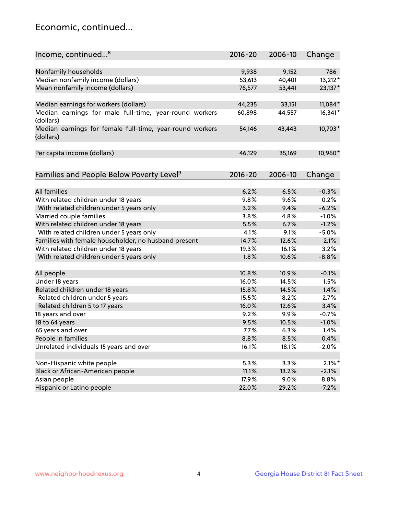## Economic, continued...

| Income, continued <sup>8</sup>                                        | $2016 - 20$ | 2006-10 | Change    |
|-----------------------------------------------------------------------|-------------|---------|-----------|
|                                                                       |             |         |           |
| Nonfamily households                                                  | 9,938       | 9,152   | 786       |
| Median nonfamily income (dollars)                                     | 53,613      | 40,401  | 13,212*   |
| Mean nonfamily income (dollars)                                       | 76,577      | 53,441  | 23,137*   |
| Median earnings for workers (dollars)                                 | 44,235      | 33,151  | 11,084*   |
| Median earnings for male full-time, year-round workers                | 60,898      | 44,557  | 16,341*   |
| (dollars)                                                             |             |         |           |
| Median earnings for female full-time, year-round workers<br>(dollars) | 54,146      | 43,443  | 10,703*   |
| Per capita income (dollars)                                           | 46,129      | 35,169  | 10,960*   |
|                                                                       |             |         |           |
| Families and People Below Poverty Level <sup>9</sup>                  | $2016 - 20$ | 2006-10 | Change    |
|                                                                       |             |         |           |
| <b>All families</b>                                                   | 6.2%        | 6.5%    | $-0.3%$   |
| With related children under 18 years                                  | 9.8%        | 9.6%    | 0.2%      |
| With related children under 5 years only                              | 3.2%        | 9.4%    | $-6.2%$   |
| Married couple families                                               | 3.8%        | 4.8%    | $-1.0%$   |
| With related children under 18 years                                  | 5.5%        | 6.7%    | $-1.2%$   |
| With related children under 5 years only                              | 4.1%        | 9.1%    | $-5.0%$   |
| Families with female householder, no husband present                  | 14.7%       | 12.6%   | 2.1%      |
| With related children under 18 years                                  | 19.3%       | 16.1%   | 3.2%      |
| With related children under 5 years only                              | 1.8%        | 10.6%   | $-8.8%$   |
|                                                                       |             |         |           |
| All people                                                            | 10.8%       | 10.9%   | $-0.1%$   |
| Under 18 years                                                        | 16.0%       | 14.5%   | 1.5%      |
| Related children under 18 years                                       | 15.8%       | 14.5%   | 1.4%      |
| Related children under 5 years                                        | 15.5%       | 18.2%   | $-2.7%$   |
| Related children 5 to 17 years                                        | 16.0%       | 12.6%   | 3.4%      |
| 18 years and over                                                     | 9.2%        | 9.9%    | $-0.7%$   |
| 18 to 64 years                                                        | 9.5%        | 10.5%   | $-1.0%$   |
| 65 years and over                                                     | 7.7%        | 6.3%    | 1.4%      |
| People in families                                                    | 8.8%        | 8.5%    | 0.4%      |
| Unrelated individuals 15 years and over                               | 16.1%       | 18.1%   | $-2.0%$   |
|                                                                       |             |         |           |
| Non-Hispanic white people                                             | 5.3%        | 3.3%    | $2.1\%$ * |
| Black or African-American people                                      | 11.1%       | 13.2%   | $-2.1%$   |
| Asian people                                                          | 17.9%       | 9.0%    | 8.8%      |
| Hispanic or Latino people                                             | 22.0%       | 29.2%   | $-7.2%$   |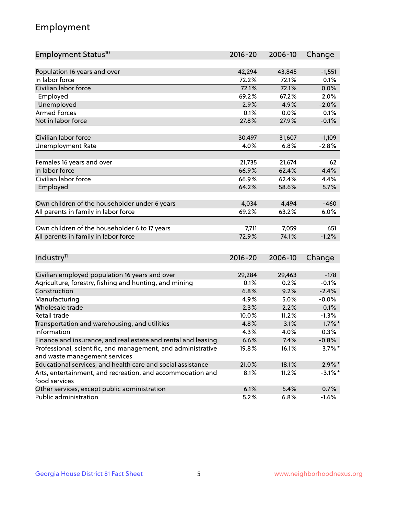## Employment

| Employment Status <sup>10</sup>                               | 2016-20     | 2006-10 | Change     |
|---------------------------------------------------------------|-------------|---------|------------|
|                                                               |             |         |            |
| Population 16 years and over                                  | 42,294      | 43,845  | $-1,551$   |
| In labor force                                                | 72.2%       | 72.1%   | 0.1%       |
| Civilian labor force                                          | 72.1%       | 72.1%   | 0.0%       |
| Employed                                                      | 69.2%       | 67.2%   | 2.0%       |
| Unemployed                                                    | 2.9%        | 4.9%    | $-2.0%$    |
| <b>Armed Forces</b>                                           | 0.1%        | 0.0%    | 0.1%       |
| Not in labor force                                            | 27.8%       | 27.9%   | $-0.1%$    |
|                                                               |             |         |            |
| Civilian labor force                                          | 30,497      | 31,607  | $-1,109$   |
| <b>Unemployment Rate</b>                                      | 4.0%        | 6.8%    | $-2.8%$    |
| Females 16 years and over                                     | 21,735      | 21,674  | 62         |
| In labor force                                                | 66.9%       | 62.4%   | 4.4%       |
| Civilian labor force                                          | 66.9%       | 62.4%   | 4.4%       |
| Employed                                                      | 64.2%       | 58.6%   | 5.7%       |
|                                                               |             |         |            |
| Own children of the householder under 6 years                 | 4,034       | 4,494   | $-460$     |
| All parents in family in labor force                          | 69.2%       | 63.2%   | 6.0%       |
|                                                               |             |         |            |
| Own children of the householder 6 to 17 years                 | 7,711       | 7,059   | 651        |
| All parents in family in labor force                          | 72.9%       | 74.1%   | $-1.2%$    |
|                                                               |             |         |            |
| Industry <sup>11</sup>                                        | $2016 - 20$ | 2006-10 | Change     |
|                                                               |             |         |            |
| Civilian employed population 16 years and over                | 29,284      | 29,463  | $-178$     |
| Agriculture, forestry, fishing and hunting, and mining        | 0.1%        | 0.2%    | $-0.1%$    |
| Construction                                                  | 6.8%        | 9.2%    | $-2.4%$    |
| Manufacturing                                                 | 4.9%        | 5.0%    | $-0.0%$    |
| Wholesale trade                                               | 2.3%        | 2.2%    | 0.1%       |
| Retail trade                                                  | 10.0%       | 11.2%   | $-1.3%$    |
| Transportation and warehousing, and utilities                 | 4.8%        | 3.1%    | $1.7\%$ *  |
| Information                                                   | 4.3%        | 4.0%    | 0.3%       |
| Finance and insurance, and real estate and rental and leasing | 6.6%        | 7.4%    | $-0.8\%$   |
| Professional, scientific, and management, and administrative  | 19.8%       | 16.1%   | $3.7\%$ *  |
| and waste management services                                 |             |         |            |
| Educational services, and health care and social assistance   | 21.0%       | 18.1%   | $2.9\%$ *  |
| Arts, entertainment, and recreation, and accommodation and    | 8.1%        | 11.2%   | $-3.1\%$ * |
| food services                                                 |             |         |            |
| Other services, except public administration                  | 6.1%        | 5.4%    | 0.7%       |
| Public administration                                         | 5.2%        | 6.8%    | $-1.6%$    |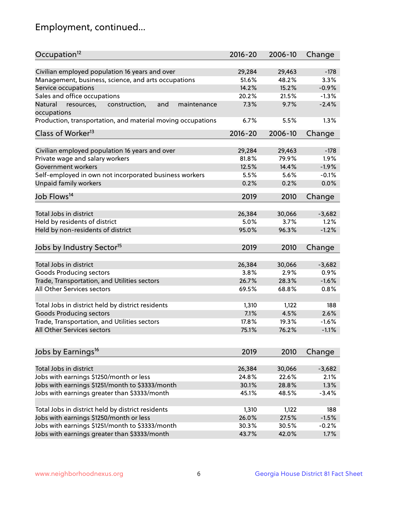## Employment, continued...

| Occupation <sup>12</sup>                                                    | $2016 - 20$    | 2006-10        | Change   |
|-----------------------------------------------------------------------------|----------------|----------------|----------|
| Civilian employed population 16 years and over                              |                |                | $-178$   |
|                                                                             | 29,284         | 29,463         | 3.3%     |
| Management, business, science, and arts occupations<br>Service occupations  | 51.6%<br>14.2% | 48.2%<br>15.2% | $-0.9%$  |
|                                                                             |                |                |          |
| Sales and office occupations                                                | 20.2%          | 21.5%          | $-1.3%$  |
| Natural<br>and<br>resources,<br>construction,<br>maintenance<br>occupations | 7.3%           | 9.7%           | $-2.4%$  |
| Production, transportation, and material moving occupations                 | 6.7%           | 5.5%           | 1.3%     |
| Class of Worker <sup>13</sup>                                               | 2016-20        | 2006-10        | Change   |
|                                                                             |                |                |          |
| Civilian employed population 16 years and over                              | 29,284         | 29,463         | $-178$   |
| Private wage and salary workers                                             | 81.8%          | 79.9%          | 1.9%     |
| Government workers                                                          | 12.5%          | 14.4%          | $-1.9%$  |
| Self-employed in own not incorporated business workers                      | 5.5%           | 5.6%           | $-0.1%$  |
| Unpaid family workers                                                       | 0.2%           | 0.2%           | 0.0%     |
| Job Flows <sup>14</sup>                                                     | 2019           | 2010           | Change   |
|                                                                             |                |                |          |
| Total Jobs in district                                                      | 26,384         | 30,066         | $-3,682$ |
| Held by residents of district                                               | 5.0%           | 3.7%           | 1.2%     |
| Held by non-residents of district                                           | 95.0%          | 96.3%          | $-1.2%$  |
|                                                                             |                |                |          |
| Jobs by Industry Sector <sup>15</sup>                                       | 2019           | 2010           | Change   |
| Total Jobs in district                                                      | 26,384         | 30,066         | $-3,682$ |
| Goods Producing sectors                                                     | 3.8%           | 2.9%           | 0.9%     |
| Trade, Transportation, and Utilities sectors                                | 26.7%          | 28.3%          | $-1.6%$  |
| All Other Services sectors                                                  | 69.5%          | 68.8%          | 0.8%     |
|                                                                             |                |                |          |
| Total Jobs in district held by district residents                           | 1,310          | 1,122          | 188      |
| <b>Goods Producing sectors</b>                                              | 7.1%           | 4.5%           | 2.6%     |
| Trade, Transportation, and Utilities sectors                                | 17.8%          | 19.3%          | $-1.6%$  |
| All Other Services sectors                                                  | 75.1%          | 76.2%          | $-1.1%$  |
|                                                                             |                |                |          |
| Jobs by Earnings <sup>16</sup>                                              | 2019           | 2010           | Change   |
|                                                                             |                |                |          |
| Total Jobs in district                                                      | 26,384         | 30,066         | $-3,682$ |
| Jobs with earnings \$1250/month or less                                     | 24.8%          | 22.6%          | 2.1%     |
| Jobs with earnings \$1251/month to \$3333/month                             | 30.1%          | 28.8%          | 1.3%     |
| Jobs with earnings greater than \$3333/month                                | 45.1%          | 48.5%          | $-3.4%$  |
|                                                                             |                |                |          |
| Total Jobs in district held by district residents                           | 1,310          | 1,122          | 188      |
| Jobs with earnings \$1250/month or less                                     | 26.0%          | 27.5%          | $-1.5%$  |
| Jobs with earnings \$1251/month to \$3333/month                             | 30.3%          | 30.5%          | $-0.2%$  |
| Jobs with earnings greater than \$3333/month                                | 43.7%          | 42.0%          | 1.7%     |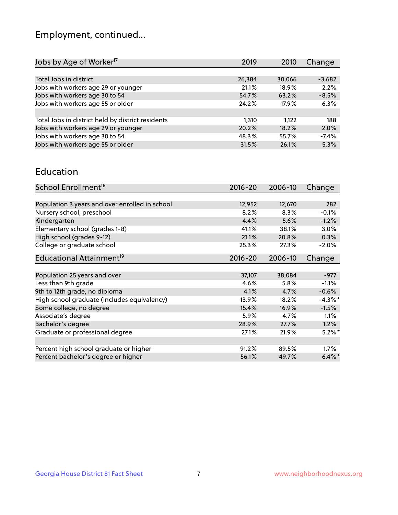## Employment, continued...

| 2019   | 2010   | Change   |
|--------|--------|----------|
|        |        |          |
| 26,384 | 30,066 | $-3,682$ |
| 21.1%  | 18.9%  | 2.2%     |
| 54.7%  | 63.2%  | $-8.5%$  |
| 24.2%  | 17.9%  | 6.3%     |
|        |        |          |
| 1,310  | 1.122  | 188      |
| 20.2%  | 18.2%  | 2.0%     |
| 48.3%  | 55.7%  | $-7.4%$  |
| 31.5%  | 26.1%  | 5.3%     |
|        |        |          |

#### Education

| School Enrollment <sup>18</sup>                | $2016 - 20$ | 2006-10 | Change     |
|------------------------------------------------|-------------|---------|------------|
|                                                |             |         |            |
| Population 3 years and over enrolled in school | 12,952      | 12,670  | 282        |
| Nursery school, preschool                      | 8.2%        | 8.3%    | $-0.1%$    |
| Kindergarten                                   | 4.4%        | 5.6%    | $-1.2%$    |
| Elementary school (grades 1-8)                 | 41.1%       | 38.1%   | 3.0%       |
| High school (grades 9-12)                      | 21.1%       | 20.8%   | 0.3%       |
| College or graduate school                     | 25.3%       | 27.3%   | $-2.0%$    |
| Educational Attainment <sup>19</sup>           | $2016 - 20$ | 2006-10 | Change     |
|                                                |             |         |            |
| Population 25 years and over                   | 37,107      | 38,084  | $-977$     |
| Less than 9th grade                            | 4.6%        | 5.8%    | $-1.1%$    |
| 9th to 12th grade, no diploma                  | 4.1%        | 4.7%    | $-0.6%$    |
| High school graduate (includes equivalency)    | 13.9%       | 18.2%   | $-4.3\%$ * |
| Some college, no degree                        | 15.4%       | 16.9%   | $-1.5%$    |
| Associate's degree                             | 5.9%        | 4.7%    | 1.1%       |
| Bachelor's degree                              | 28.9%       | 27.7%   | 1.2%       |
| Graduate or professional degree                | 27.1%       | 21.9%   | $5.2\%$ *  |
|                                                |             |         |            |
| Percent high school graduate or higher         | 91.2%       | 89.5%   | $1.7\%$    |
| Percent bachelor's degree or higher            | 56.1%       | 49.7%   | $6.4\%$ *  |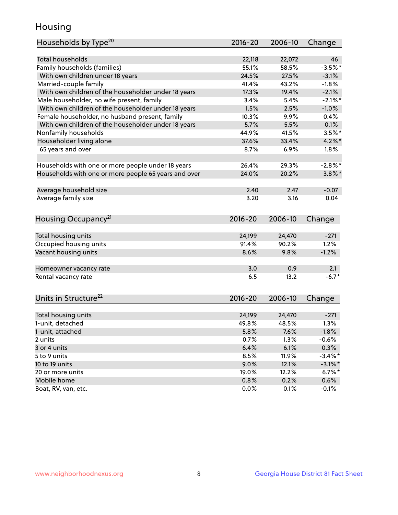## Housing

| Households by Type <sup>20</sup>                     | 2016-20     | 2006-10 | Change     |
|------------------------------------------------------|-------------|---------|------------|
|                                                      |             |         |            |
| <b>Total households</b>                              | 22,118      | 22,072  | 46         |
| Family households (families)                         | 55.1%       | 58.5%   | $-3.5%$ *  |
| With own children under 18 years                     | 24.5%       | 27.5%   | $-3.1%$    |
| Married-couple family                                | 41.4%       | 43.2%   | $-1.8%$    |
| With own children of the householder under 18 years  | 17.3%       | 19.4%   | $-2.1%$    |
| Male householder, no wife present, family            | 3.4%        | 5.4%    | $-2.1\%$ * |
| With own children of the householder under 18 years  | 1.5%        | 2.5%    | $-1.0%$    |
| Female householder, no husband present, family       | 10.3%       | 9.9%    | 0.4%       |
| With own children of the householder under 18 years  | 5.7%        | 5.5%    | 0.1%       |
| Nonfamily households                                 | 44.9%       | 41.5%   | $3.5\%$ *  |
| Householder living alone                             | 37.6%       | 33.4%   | $4.2\%$ *  |
| 65 years and over                                    | 8.7%        | 6.9%    | 1.8%       |
|                                                      |             |         |            |
| Households with one or more people under 18 years    | 26.4%       | 29.3%   | $-2.8%$    |
| Households with one or more people 65 years and over | 24.0%       | 20.2%   | $3.8\%$ *  |
|                                                      |             |         |            |
| Average household size                               | 2.40        | 2.47    | $-0.07$    |
| Average family size                                  | 3.20        | 3.16    | 0.04       |
|                                                      |             |         |            |
| Housing Occupancy <sup>21</sup>                      | 2016-20     | 2006-10 | Change     |
|                                                      |             |         |            |
| Total housing units                                  | 24,199      | 24,470  | $-271$     |
| Occupied housing units                               | 91.4%       | 90.2%   | 1.2%       |
| Vacant housing units                                 | 8.6%        | 9.8%    | $-1.2%$    |
|                                                      |             |         |            |
| Homeowner vacancy rate                               | 3.0         | 0.9     | 2.1        |
| Rental vacancy rate                                  | 6.5         | 13.2    | $-6.7*$    |
|                                                      |             |         |            |
| Units in Structure <sup>22</sup>                     | $2016 - 20$ | 2006-10 | Change     |
|                                                      |             |         |            |
| Total housing units                                  | 24,199      | 24,470  | $-271$     |
| 1-unit, detached                                     | 49.8%       | 48.5%   | 1.3%       |
| 1-unit, attached                                     | 5.8%        | 7.6%    | $-1.8%$    |
| 2 units                                              | 0.7%        | 1.3%    | $-0.6%$    |
| 3 or 4 units                                         | 6.4%        | 6.1%    | 0.3%       |
| 5 to 9 units                                         | 8.5%        | 11.9%   | $-3.4\%$ * |
| 10 to 19 units                                       | 9.0%        | 12.1%   | $-3.1\%$ * |
| 20 or more units                                     | 19.0%       | 12.2%   | $6.7\%$ *  |
| Mobile home                                          | 0.8%        | 0.2%    | 0.6%       |
| Boat, RV, van, etc.                                  | 0.0%        | 0.1%    | $-0.1%$    |
|                                                      |             |         |            |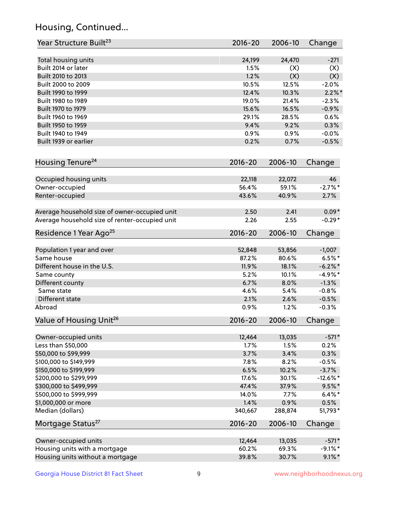## Housing, Continued...

| Year Structure Built <sup>23</sup>             | 2016-20     | 2006-10 | Change      |
|------------------------------------------------|-------------|---------|-------------|
| Total housing units                            | 24,199      | 24,470  | $-271$      |
| Built 2014 or later                            | 1.5%        | (X)     | (X)         |
| Built 2010 to 2013                             | 1.2%        | (X)     | (X)         |
| Built 2000 to 2009                             | 10.5%       | 12.5%   | $-2.0%$     |
| Built 1990 to 1999                             | 12.4%       | 10.3%   | $2.2\%$ *   |
| Built 1980 to 1989                             | 19.0%       | 21.4%   | $-2.3%$     |
| Built 1970 to 1979                             | 15.6%       | 16.5%   | $-0.9%$     |
| Built 1960 to 1969                             | 29.1%       | 28.5%   | 0.6%        |
| Built 1950 to 1959                             | 9.4%        | 9.2%    | 0.3%        |
| Built 1940 to 1949                             | 0.9%        | 0.9%    | $-0.0%$     |
| Built 1939 or earlier                          | 0.2%        | 0.7%    | $-0.5%$     |
| Housing Tenure <sup>24</sup>                   | $2016 - 20$ | 2006-10 | Change      |
| Occupied housing units                         | 22,118      | 22,072  | 46          |
| Owner-occupied                                 | 56.4%       | 59.1%   | $-2.7%$ *   |
| Renter-occupied                                | 43.6%       | 40.9%   | 2.7%        |
| Average household size of owner-occupied unit  | 2.50        | 2.41    | $0.09*$     |
| Average household size of renter-occupied unit | 2.26        | 2.55    | $-0.29*$    |
| Residence 1 Year Ago <sup>25</sup>             | 2016-20     | 2006-10 | Change      |
| Population 1 year and over                     | 52,848      | 53,856  | $-1,007$    |
| Same house                                     | 87.2%       | 80.6%   | $6.5%$ *    |
| Different house in the U.S.                    | 11.9%       | 18.1%   | $-6.2\%$ *  |
| Same county                                    | 5.2%        | 10.1%   | $-4.9%$ *   |
| Different county                               | 6.7%        | 8.0%    | $-1.3%$     |
| Same state                                     | 4.6%        | 5.4%    | $-0.8%$     |
| Different state                                | 2.1%        | 2.6%    | $-0.5%$     |
| Abroad                                         | 0.9%        | 1.2%    | $-0.3%$     |
| Value of Housing Unit <sup>26</sup>            | $2016 - 20$ | 2006-10 | Change      |
| Owner-occupied units                           | 12,464      | 13,035  | $-571*$     |
| Less than \$50,000                             | 1.7%        | 1.5%    | 0.2%        |
| \$50,000 to \$99,999                           | 3.7%        | 3.4%    | 0.3%        |
| \$100,000 to \$149,999                         | 7.8%        | 8.2%    | $-0.5%$     |
| \$150,000 to \$199,999                         | 6.5%        | 10.2%   | $-3.7%$     |
| \$200,000 to \$299,999                         | 17.6%       | 30.1%   | $-12.6\%$ * |
| \$300,000 to \$499,999                         | 47.4%       | 37.9%   | $9.5%$ *    |
| \$500,000 to \$999,999                         | 14.0%       | 7.7%    | $6.4\%*$    |
| \$1,000,000 or more                            | 1.4%        | 0.9%    | 0.5%        |
| Median (dollars)                               | 340,667     | 288,874 | 51,793*     |
| Mortgage Status <sup>27</sup>                  | $2016 - 20$ | 2006-10 | Change      |
| Owner-occupied units                           | 12,464      | 13,035  | $-571*$     |
| Housing units with a mortgage                  | 60.2%       | 69.3%   | $-9.1\%$ *  |
| Housing units without a mortgage               | 39.8%       | 30.7%   | $9.1\%$ *   |
|                                                |             |         |             |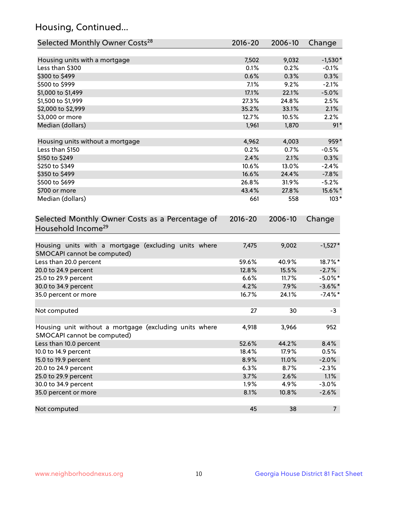## Housing, Continued...

| Selected Monthly Owner Costs <sup>28</sup>                                            | 2016-20     | 2006-10 | Change         |
|---------------------------------------------------------------------------------------|-------------|---------|----------------|
| Housing units with a mortgage                                                         | 7,502       | 9,032   | $-1,530*$      |
| Less than \$300                                                                       | 0.1%        | 0.2%    | $-0.1%$        |
| \$300 to \$499                                                                        | 0.6%        | 0.3%    | 0.3%           |
| \$500 to \$999                                                                        | 7.1%        | 9.2%    | $-2.1%$        |
| \$1,000 to \$1,499                                                                    | 17.1%       | 22.1%   | $-5.0%$        |
| \$1,500 to \$1,999                                                                    | 27.3%       | 24.8%   | 2.5%           |
| \$2,000 to \$2,999                                                                    | 35.2%       | 33.1%   | 2.1%           |
| \$3,000 or more                                                                       | 12.7%       | 10.5%   | 2.2%           |
| Median (dollars)                                                                      | 1,961       | 1,870   | $91*$          |
| Housing units without a mortgage                                                      | 4,962       | 4,003   | 959*           |
| Less than \$150                                                                       | 0.2%        | 0.7%    | $-0.5%$        |
| \$150 to \$249                                                                        | 2.4%        | 2.1%    | 0.3%           |
| \$250 to \$349                                                                        | 10.6%       | 13.0%   | $-2.4%$        |
| \$350 to \$499                                                                        | 16.6%       | 24.4%   | $-7.8%$        |
| \$500 to \$699                                                                        | 26.8%       | 31.9%   | $-5.2%$        |
| \$700 or more                                                                         | 43.4%       | 27.8%   | 15.6%*         |
| Median (dollars)                                                                      | 661         | 558     | $103*$         |
| Selected Monthly Owner Costs as a Percentage of<br>Household Income <sup>29</sup>     | $2016 - 20$ | 2006-10 | Change         |
| Housing units with a mortgage (excluding units where<br>SMOCAPI cannot be computed)   | 7,475       | 9,002   | $-1,527*$      |
| Less than 20.0 percent                                                                | 59.6%       | 40.9%   | 18.7%*         |
| 20.0 to 24.9 percent                                                                  | 12.8%       | 15.5%   | $-2.7%$        |
| 25.0 to 29.9 percent                                                                  | 6.6%        | 11.7%   | $-5.0\%$ *     |
| 30.0 to 34.9 percent                                                                  | 4.2%        | 7.9%    | $-3.6\%$ *     |
| 35.0 percent or more                                                                  | 16.7%       | 24.1%   | $-7.4\%$ *     |
| Not computed                                                                          | 27          | 30      | $-3$           |
| Housing unit without a mortgage (excluding units where<br>SMOCAPI cannot be computed) | 4,918       | 3,966   | 952            |
| Less than 10.0 percent                                                                | 52.6%       | 44.2%   | 8.4%           |
| 10.0 to 14.9 percent                                                                  | 18.4%       | 17.9%   | 0.5%           |
| 15.0 to 19.9 percent                                                                  | 8.9%        | 11.0%   | $-2.0%$        |
| 20.0 to 24.9 percent                                                                  | 6.3%        | 8.7%    | $-2.3%$        |
| 25.0 to 29.9 percent                                                                  | 3.7%        | 2.6%    | 1.1%           |
| 30.0 to 34.9 percent                                                                  | 1.9%        | 4.9%    | $-3.0%$        |
| 35.0 percent or more                                                                  | 8.1%        | 10.8%   | $-2.6%$        |
| Not computed                                                                          | 45          | 38      | 7 <sup>7</sup> |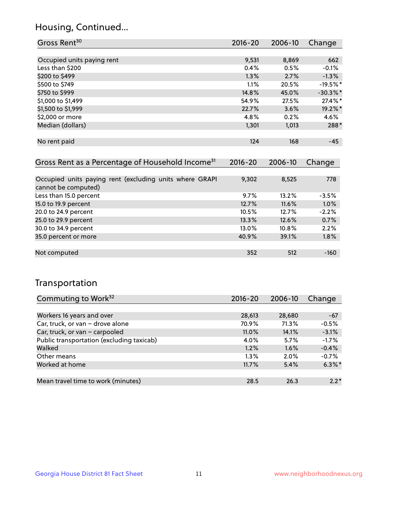## Housing, Continued...

| Gross Rent <sup>30</sup>   | 2016-20 | 2006-10 | Change     |
|----------------------------|---------|---------|------------|
|                            |         |         |            |
| Occupied units paying rent | 9,531   | 8,869   | 662        |
| Less than \$200            | 0.4%    | 0.5%    | $-0.1%$    |
| \$200 to \$499             | 1.3%    | 2.7%    | $-1.3%$    |
| \$500 to \$749             | 1.1%    | 20.5%   | $-19.5%$ * |
| \$750 to \$999             | 14.8%   | 45.0%   | $-30.3%$ * |
| \$1,000 to \$1,499         | 54.9%   | 27.5%   | 27.4%*     |
| \$1,500 to \$1,999         | 22.7%   | 3.6%    | 19.2%*     |
| \$2,000 or more            | 4.8%    | 0.2%    | 4.6%       |
| Median (dollars)           | 1,301   | 1,013   | 288*       |
|                            |         |         |            |
| No rent paid               | 124     | 168     | $-45$      |

| Gross Rent as a Percentage of Household Income <sup>31</sup>                   | $2016 - 20$ | 2006-10  | Change  |
|--------------------------------------------------------------------------------|-------------|----------|---------|
|                                                                                |             |          |         |
| Occupied units paying rent (excluding units where GRAPI<br>cannot be computed) | 9,302       | 8,525    | 778     |
| Less than 15.0 percent                                                         | 9.7%        | 13.2%    | $-3.5%$ |
| 15.0 to 19.9 percent                                                           | 12.7%       | 11.6%    | 1.0%    |
| 20.0 to 24.9 percent                                                           | 10.5%       | 12.7%    | $-2.2%$ |
| 25.0 to 29.9 percent                                                           | 13.3%       | 12.6%    | 0.7%    |
| 30.0 to 34.9 percent                                                           | $13.0\%$    | $10.8\%$ | 2.2%    |
| 35.0 percent or more                                                           | 40.9%       | 39.1%    | 1.8%    |
|                                                                                |             |          |         |
| Not computed                                                                   | 352         | 512      | $-160$  |

## Transportation

| Commuting to Work <sup>32</sup>           | $2016 - 20$ | 2006-10 | Change    |
|-------------------------------------------|-------------|---------|-----------|
|                                           |             |         |           |
| Workers 16 years and over                 | 28,613      | 28,680  | $-67$     |
| Car, truck, or van - drove alone          | 70.9%       | 71.3%   | $-0.5%$   |
| Car, truck, or van - carpooled            | 11.0%       | 14.1%   | $-3.1%$   |
| Public transportation (excluding taxicab) | 4.0%        | 5.7%    | $-1.7%$   |
| Walked                                    | 1.2%        | 1.6%    | $-0.4%$   |
| Other means                               | $1.3\%$     | $2.0\%$ | $-0.7%$   |
| Worked at home                            | 11.7%       | 5.4%    | $6.3\%$ * |
|                                           |             |         |           |
| Mean travel time to work (minutes)        | 28.5        | 26.3    | $2.2*$    |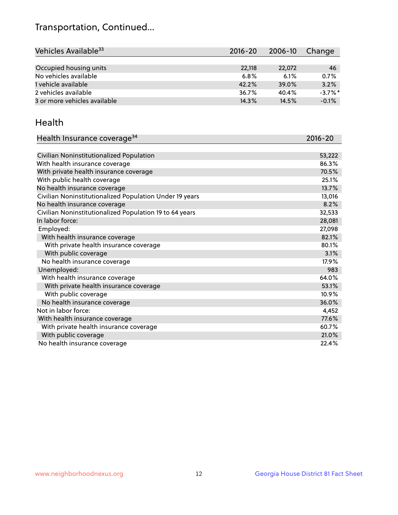## Transportation, Continued...

| Vehicles Available <sup>33</sup> | 2016-20 | 2006-10 | Change     |
|----------------------------------|---------|---------|------------|
|                                  |         |         |            |
| Occupied housing units           | 22,118  | 22,072  | -46        |
| No vehicles available            | 6.8%    | 6.1%    | 0.7%       |
| 1 vehicle available              | 42.2%   | 39.0%   | 3.2%       |
| 2 vehicles available             | 36.7%   | 40.4%   | $-3.7\%$ * |
| 3 or more vehicles available     | 14.3%   | 14.5%   | $-0.1%$    |

#### Health

| Health Insurance coverage <sup>34</sup>                 | 2016-20 |
|---------------------------------------------------------|---------|
|                                                         |         |
| Civilian Noninstitutionalized Population                | 53,222  |
| With health insurance coverage                          | 86.3%   |
| With private health insurance coverage                  | 70.5%   |
| With public health coverage                             | 25.1%   |
| No health insurance coverage                            | 13.7%   |
| Civilian Noninstitutionalized Population Under 19 years | 13,016  |
| No health insurance coverage                            | 8.2%    |
| Civilian Noninstitutionalized Population 19 to 64 years | 32,533  |
| In labor force:                                         | 28,081  |
| Employed:                                               | 27,098  |
| With health insurance coverage                          | 82.1%   |
| With private health insurance coverage                  | 80.1%   |
| With public coverage                                    | 3.1%    |
| No health insurance coverage                            | 17.9%   |
| Unemployed:                                             | 983     |
| With health insurance coverage                          | 64.0%   |
| With private health insurance coverage                  | 53.1%   |
| With public coverage                                    | 10.9%   |
| No health insurance coverage                            | 36.0%   |
| Not in labor force:                                     | 4,452   |
| With health insurance coverage                          | 77.6%   |
| With private health insurance coverage                  | 60.7%   |
| With public coverage                                    | 21.0%   |
| No health insurance coverage                            | 22.4%   |